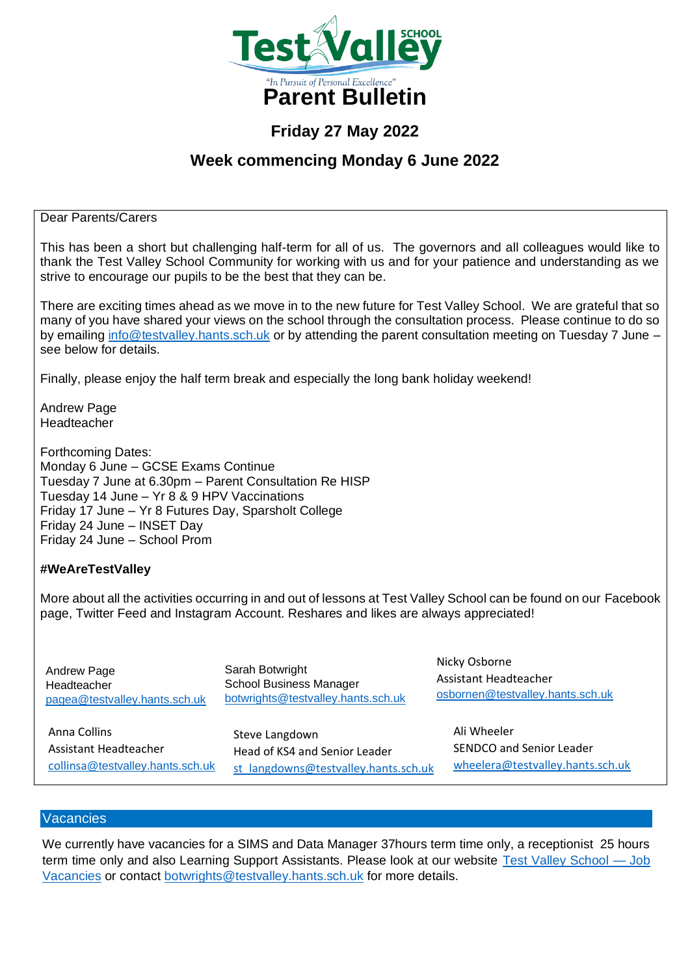

# **Friday 27 May 2022**

# **Week commencing Monday 6 June 2022**

Dear Parents/Carers

This has been a short but challenging half-term for all of us. The governors and all colleagues would like to thank the Test Valley School Community for working with us and for your patience and understanding as we strive to encourage our pupils to be the best that they can be.

There are exciting times ahead as we move in to the new future for Test Valley School. We are grateful that so many of you have shared your views on the school through the consultation process. Please continue to do so by emailing [info@testvalley.hants.sch.uk](mailto:info@testvalley.hants.sch.uk) or by attending the parent consultation meeting on Tuesday 7 June – see below for details.

Finally, please enjoy the half term break and especially the long bank holiday weekend!

Andrew Page Headteacher

Forthcoming Dates: Monday 6 June – GCSE Exams Continue Tuesday 7 June at 6.30pm – Parent Consultation Re HISP Tuesday 14 June – Yr 8 & 9 HPV Vaccinations Friday 17 June – Yr 8 Futures Day, Sparsholt College Friday 24 June – INSET Day Friday 24 June – School Prom

## **#WeAreTestValley**

More about all the activities occurring in and out of lessons at Test Valley School can be found on our Facebook page, Twitter Feed and Instagram Account. Reshares and likes are always appreciated!

Andrew Page Headteacher [pagea@testvalley.hants.sch.uk](mailto:pagea@testvalley.hants.sch.uk) Sarah Botwright School Business Manager [botwrights@testvalley.hants.sch.uk](mailto:botwrights@testvalley.hants.sch.uk)

Anna Collins Assistant Headteacher collinsa[@testvalley.hants.sch.uk](mailto:collinsa@testvalley.hants.sch.uk) Steve Langdown Head of KS4 and Senior Leader [st\\_langdowns@testvalley.hants.sch.uk](mailto:st_langdowns@testvalley.hants.sch.uk)

Nicky Osborne Assistant Headteacher [osbornen@testvalley.hants.sch.uk](mailto:osbornen@testvalley.hants.sch.uk)

Ali Wheeler SENDCO and Senior Leader wheelera@testvalley.hants.sch.uk

## Vacancies

We currently have vacancies for a SIMS and Data Manager 37hours term time only, a receptionist 25 hours term time only and also Learning Support Assistants. Please look at our website [Test Valley School —](https://www.testvalley.hants.sch.uk/our-school/job-vacancies/) Job [Vacancies](https://www.testvalley.hants.sch.uk/our-school/job-vacancies/) or contact [botwrights@testvalley.hants.sch.uk](mailto:botwrights@testvalley.hants.sch.uk) for more details.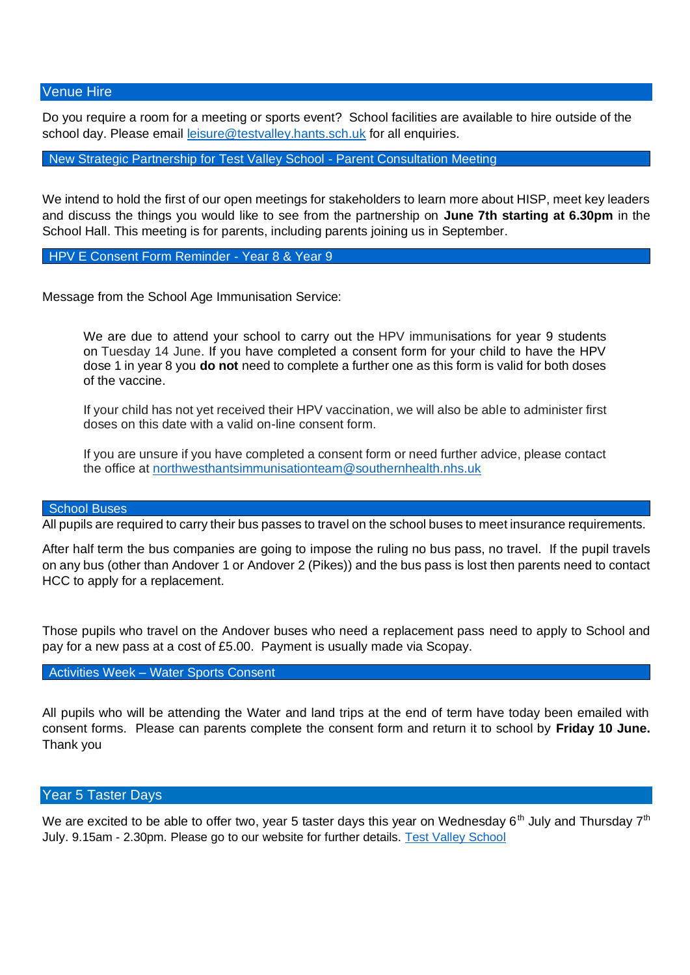Venue Hire

Do you require a room for a meeting or sports event? School facilities are available to hire outside of the school day. Please email [leisure@testvalley.hants.sch.uk](mailto:leisure@testvalley.hants.sch.uk) for all enquiries.

New Strategic Partnership for Test Valley School - Parent Consultation Meeting

We intend to hold the first of our open meetings for stakeholders to learn more about HISP, meet key leaders and discuss the things you would like to see from the partnership on **June 7th starting at 6.30pm** in the School Hall. This meeting is for parents, including parents joining us in September.

HPV E Consent Form Reminder - Year 8 & Year 9

Message from the School Age Immunisation Service:

We are due to attend your school to carry out the HPV immunisations for year 9 students on Tuesday 14 June. If you have completed a consent form for your child to have the HPV dose 1 in year 8 you **do not** need to complete a further one as this form is valid for both doses of the vaccine.

If your child has not yet received their HPV vaccination, we will also be able to administer first doses on this date with a valid on-line consent form.

If you are unsure if you have completed a consent form or need further advice, please contact the office at [northwesthantsimmunisationteam@southernhealth.nhs.uk](mailto:northwesthantsimmunisationteam@southernhealth.nhs.uk)

### School Buses

All pupils are required to carry their bus passes to travel on the school buses to meet insurance requirements.

After half term the bus companies are going to impose the ruling no bus pass, no travel. If the pupil travels on any bus (other than Andover 1 or Andover 2 (Pikes)) and the bus pass is lost then parents need to contact HCC to apply for a replacement.

Those pupils who travel on the Andover buses who need a replacement pass need to apply to School and pay for a new pass at a cost of £5.00. Payment is usually made via Scopay.

#### Activities Week – Water Sports Consent

All pupils who will be attending the Water and land trips at the end of term have today been emailed with consent forms. Please can parents complete the consent form and return it to school by **Friday 10 June.** Thank you

### Year 5 Taster Days

We are excited to be able to offer two, year 5 taster days this year on Wednesday 6<sup>th</sup> July and Thursday 7<sup>th</sup> July. 9.15am - 2.30pm. Please go to our website for further details. [Test Valley School](https://www.testvalley.hants.sch.uk/)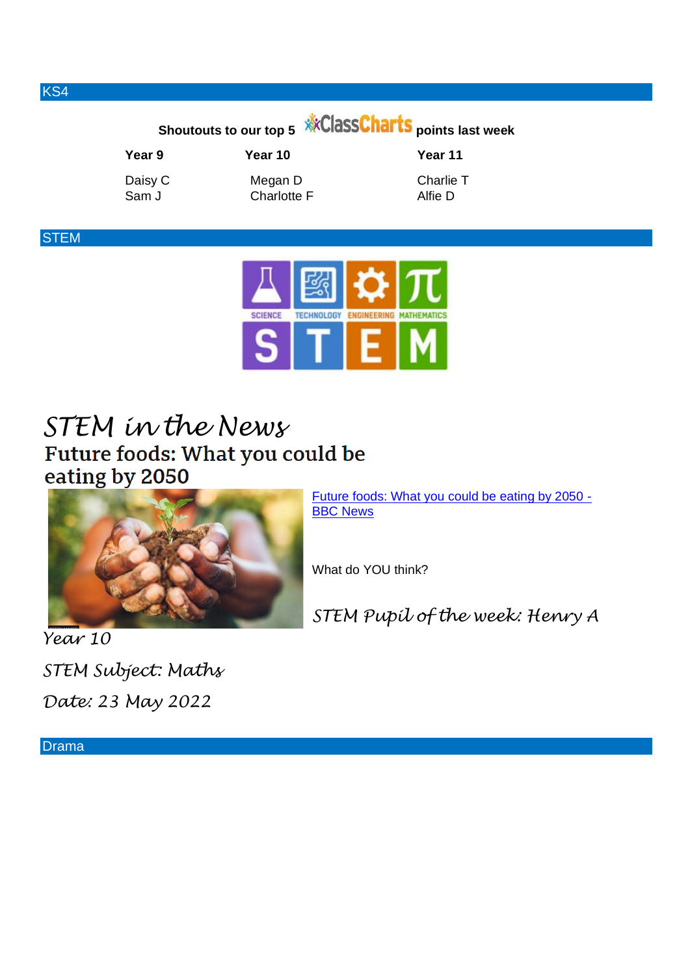



# *STEM in the News*<br>Future foods: What you could be eating by 2050



[Future foods: What you could be eating by 2050 -](https://www.bbc.co.uk/news/science-environment-61505548) [BBC News](https://www.bbc.co.uk/news/science-environment-61505548)

What do YOU think?

*STEM Pupil of the week: Henry A* 

*Year 10*

*STEM Subject: Maths Date: 23 May 2022*

Drama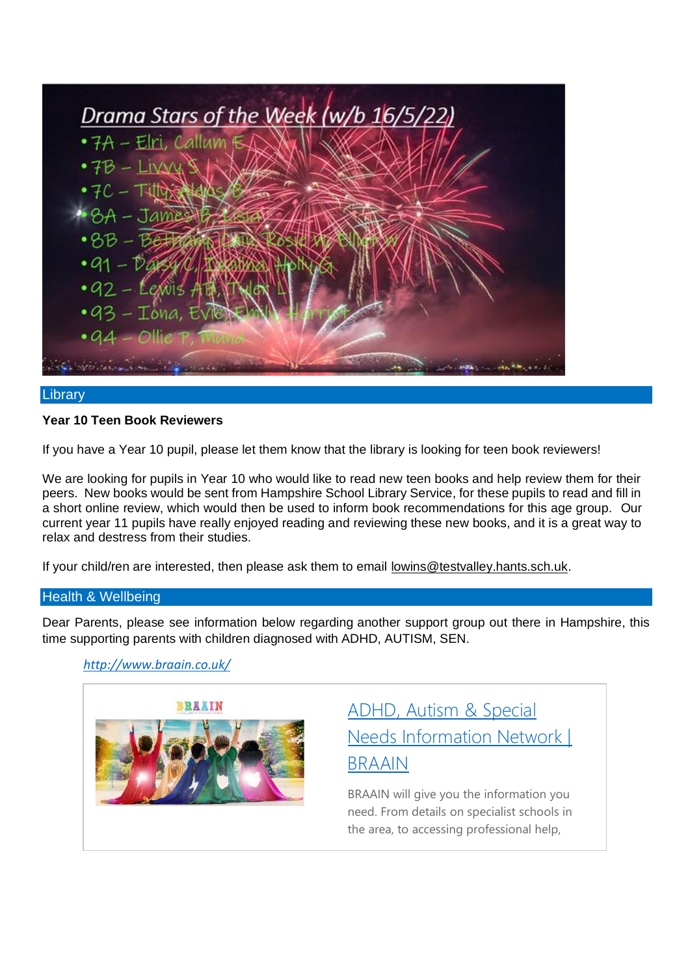

### **Library**

### **Year 10 Teen Book Reviewers**

If you have a Year 10 pupil, please let them know that the library is looking for teen book reviewers!

We are looking for pupils in Year 10 who would like to read new teen books and help review them for their peers. New books would be sent from Hampshire School Library Service, for these pupils to read and fill in a short online review, which would then be used to inform book recommendations for this age group. Our current year 11 pupils have really enjoyed reading and reviewing these new books, and it is a great way to relax and destress from their studies.

If your child/ren are interested, then please ask them to email [lowins@testvalley.hants.sch.uk.](mailto:lowins@testvalley.hants.sch.uk)

### Health & Wellbeing

Dear Parents, please see information below regarding another support group out there in Hampshire, this time supporting parents with children diagnosed with ADHD, AUTISM, SEN.

## *<http://www.braain.co.uk/>*